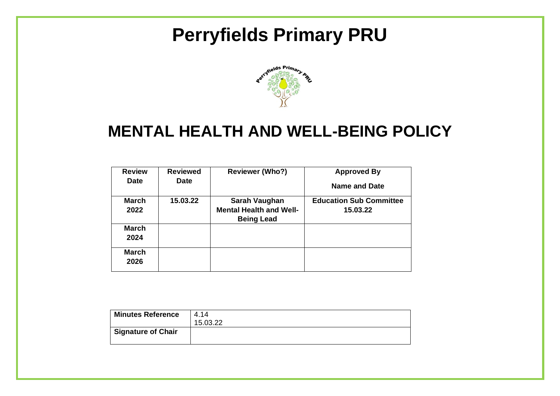# **Perryfields Primary PRU**



# **MENTAL HEALTH AND WELL-BEING POLICY**

| <b>Review</b><br><b>Date</b> | <b>Reviewed</b><br><b>Date</b> | <b>Reviewer (Who?)</b>                                               | <b>Approved By</b><br><b>Name and Date</b> |
|------------------------------|--------------------------------|----------------------------------------------------------------------|--------------------------------------------|
| <b>March</b><br>2022         | 15.03.22                       | Sarah Vaughan<br><b>Mental Health and Well-</b><br><b>Being Lead</b> | <b>Education Sub Committee</b><br>15.03.22 |
| <b>March</b><br>2024         |                                |                                                                      |                                            |
| March<br>2026                |                                |                                                                      |                                            |

| <b>Minutes Reference</b>  | 4.14     |
|---------------------------|----------|
|                           | 15.03.22 |
| <b>Signature of Chair</b> |          |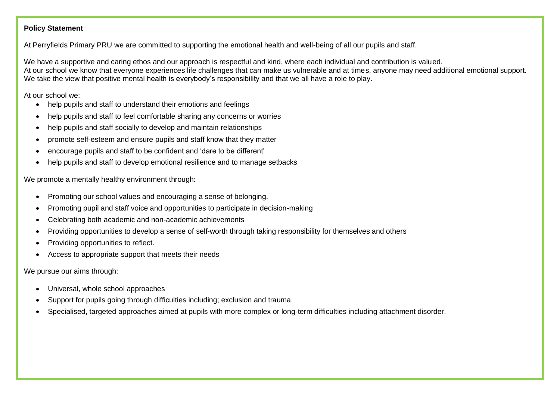### **Policy Statement**

At Perryfields Primary PRU we are committed to supporting the emotional health and well-being of all our pupils and staff.

We have a supportive and caring ethos and our approach is respectful and kind, where each individual and contribution is valued. At our school we know that everyone experiences life challenges that can make us vulnerable and at times, anyone may need additional emotional support. We take the view that positive mental health is everybody's responsibility and that we all have a role to play.

At our school we:

- help pupils and staff to understand their emotions and feelings
- help pupils and staff to feel comfortable sharing any concerns or worries
- help pupils and staff socially to develop and maintain relationships
- promote self-esteem and ensure pupils and staff know that they matter
- encourage pupils and staff to be confident and 'dare to be different'
- help pupils and staff to develop emotional resilience and to manage setbacks

We promote a mentally healthy environment through:

- Promoting our school values and encouraging a sense of belonging.
- Promoting pupil and staff voice and opportunities to participate in decision-making
- Celebrating both academic and non-academic achievements
- Providing opportunities to develop a sense of self-worth through taking responsibility for themselves and others
- Providing opportunities to reflect.
- Access to appropriate support that meets their needs

We pursue our aims through:

- Universal, whole school approaches
- Support for pupils going through difficulties including; exclusion and trauma
- Specialised, targeted approaches aimed at pupils with more complex or long-term difficulties including attachment disorder.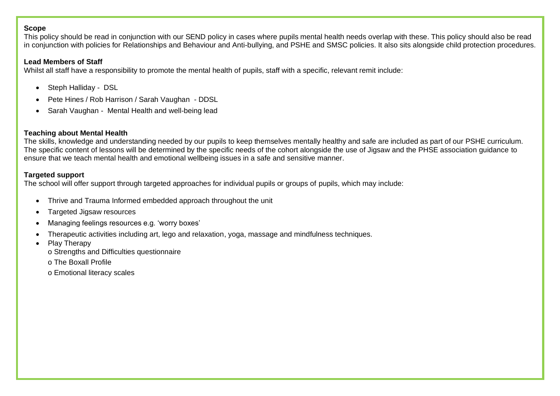#### **Scope**

This policy should be read in conjunction with our SEND policy in cases where pupils mental health needs overlap with these. This policy should also be read in conjunction with policies for Relationships and Behaviour and Anti-bullying, and PSHE and SMSC policies. It also sits alongside child protection procedures.

#### **Lead Members of Staff**

Whilst all staff have a responsibility to promote the mental health of pupils, staff with a specific, relevant remit include:

- Steph Halliday DSL
- Pete Hines / Rob Harrison / Sarah Vaughan DDSL
- Sarah Vaughan Mental Health and well-being lead

### **Teaching about Mental Health**

The skills, knowledge and understanding needed by our pupils to keep themselves mentally healthy and safe are included as part of our PSHE curriculum. The specific content of lessons will be determined by the specific needs of the cohort alongside the use of Jigsaw and the PHSE association guidance to ensure that we teach mental health and emotional wellbeing issues in a safe and sensitive manner.

### **Targeted support**

The school will offer support through targeted approaches for individual pupils or groups of pupils, which may include:

- Thrive and Trauma Informed embedded approach throughout the unit
- Targeted Jigsaw resources
- Managing feelings resources e.g. 'worry boxes'
- Therapeutic activities including art, lego and relaxation, yoga, massage and mindfulness techniques.
- Play Therapy
	- o Strengths and Difficulties questionnaire
	- o The Boxall Profile
	- o Emotional literacy scales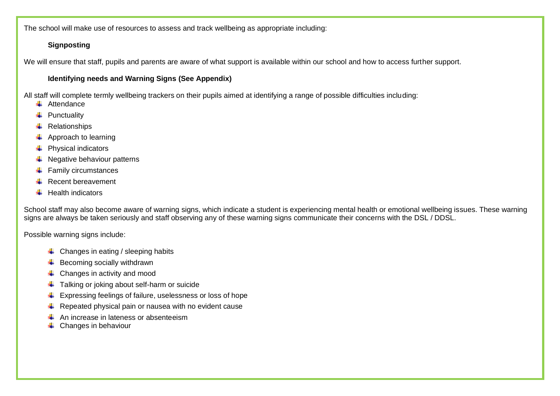The school will make use of resources to assess and track wellbeing as appropriate including:

# **Signposting**

We will ensure that staff, pupils and parents are aware of what support is available within our school and how to access further support.

# **Identifying needs and Warning Signs (See Appendix)**

All staff will complete termly wellbeing trackers on their pupils aimed at identifying a range of possible difficulties including:

- $\leftarrow$  Attendance
- $\ddot{+}$  Punctuality
- $\leftarrow$  Relationships
- $\leftarrow$  Approach to learning
- $\leftarrow$  Physical indicators
- $\bigstar$  Negative behaviour patterns
- $\leftarrow$  Family circumstances
- $\leftarrow$  Recent bereavement
- $\ddot{\bullet}$  Health indicators

School staff may also become aware of warning signs, which indicate a student is experiencing mental health or emotional wellbeing issues. These warning signs are always be taken seriously and staff observing any of these warning signs communicate their concerns with the DSL / DDSL.

Possible warning signs include:

- $\downarrow$  Changes in eating / sleeping habits
- $\overline{\phantom{a}}$  Becoming socially withdrawn
- $\leftarrow$  Changes in activity and mood
- $\ddot{\bullet}$  Talking or joking about self-harm or suicide
- $\overline{\phantom{a}}$  Expressing feelings of failure, uselessness or loss of hope
- $\ddot{+}$  Repeated physical pain or nausea with no evident cause
- An increase in lateness or absenteeism
- $\leftarrow$  Changes in behaviour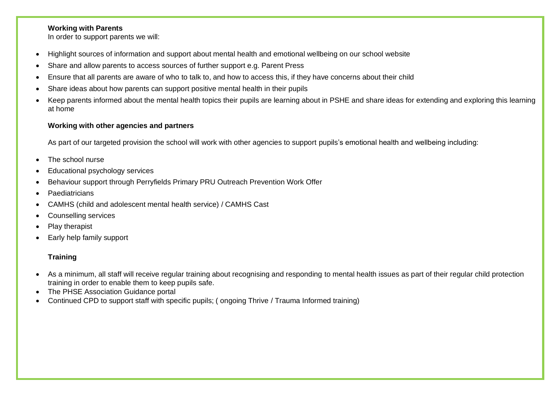### **Working with Parents**

In order to support parents we will:

- Highlight sources of information and support about mental health and emotional wellbeing on our school website
- Share and allow parents to access sources of further support e.g. Parent Press
- Ensure that all parents are aware of who to talk to, and how to access this, if they have concerns about their child
- Share ideas about how parents can support positive mental health in their pupils
- Keep parents informed about the mental health topics their pupils are learning about in PSHE and share ideas for extending and exploring this learning at home

## **Working with other agencies and partners**

As part of our targeted provision the school will work with other agencies to support pupils's emotional health and wellbeing including:

- The school nurse
- Educational psychology services
- Behaviour support through Perryfields Primary PRU Outreach Prevention Work Offer
- **Paediatricians**
- CAMHS (child and adolescent mental health service) / CAMHS Cast
- Counselling services
- Play therapist
- Early help family support

# **Training**

- As a minimum, all staff will receive regular training about recognising and responding to mental health issues as part of their regular child protection training in order to enable them to keep pupils safe.
- The PHSE Association Guidance portal
- Continued CPD to support staff with specific pupils; ( ongoing Thrive / Trauma Informed training)